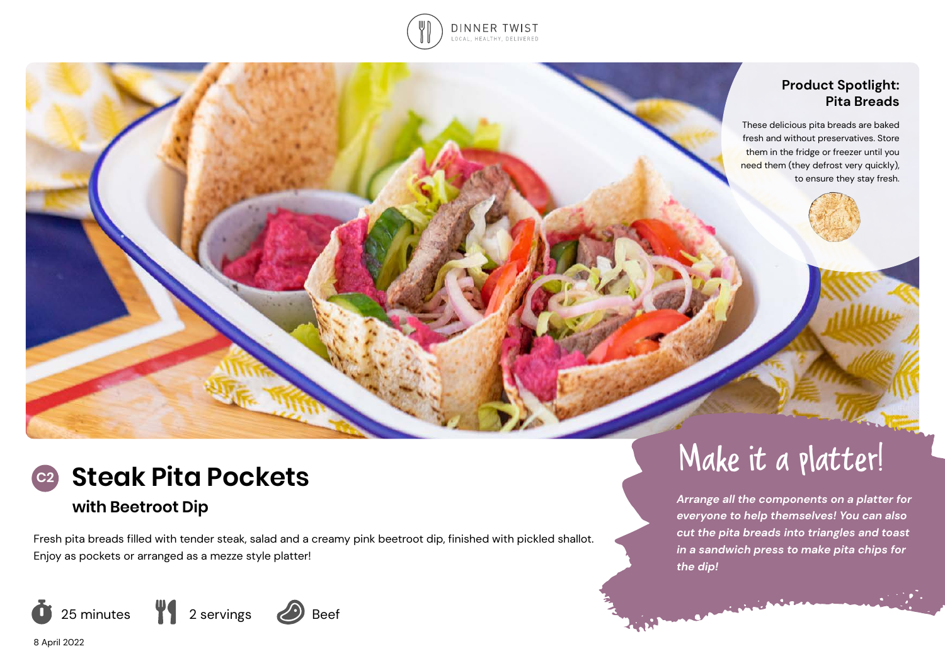

## **Product Spotlight: Pita Breads**

These delicious pita breads are baked fresh and without preservatives. Store them in the fridge or freezer until you need them (they defrost very quickly), to ensure they stay fresh.



## **with Beetroot Dip**

Fresh pita breads filled with tender steak, salad and a creamy pink beetroot dip, finished with pickled shallot. Enjoy as pockets or arranged as a mezze style platter!



# C2 Steak Pita Pockets

*Arrange all the components on a platter for everyone to help themselves! You can also cut the pita breads into triangles and toast in a sandwich press to make pita chips for the dip!*

8 April 2022